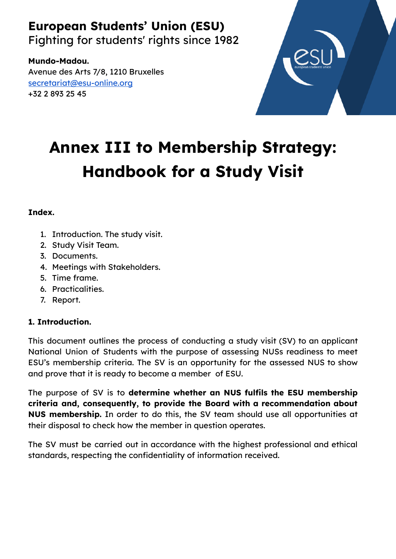# **European Students' Union (ESU)**

Fighting for students' rights since 1982

**Mundo-Madou.** Avenue des Arts 7/8, 1210 Bruxelles [secretariat@esu-online.org](mailto:secretariat@esu-online.org) +32 2 893 25 45



# **Annex III to Membership Strategy: Handbook for a Study Visit**

### **Index.**

- 1. Introduction. The study visit.
- 2. Study Visit Team.
- 3. Documents.
- 4. Meetings with Stakeholders.
- 5. Time frame.
- 6. Practicalities.
- 7. Report.

## **1. Introduction.**

This document outlines the process of conducting a study visit (SV) to an applicant National Union of Students with the purpose of assessing NUSs readiness to meet ESU's membership criteria. The SV is an opportunity for the assessed NUS to show and prove that it is ready to become a member of ESU.

The purpose of SV is to **determine whether an NUS fulfils the ESU membership criteria and, consequently, to provide the Board with a recommendation about NUS membership.** In order to do this, the SV team should use all opportunities at their disposal to check how the member in question operates.

The SV must be carried out in accordance with the highest professional and ethical standards, respecting the confidentiality of information received.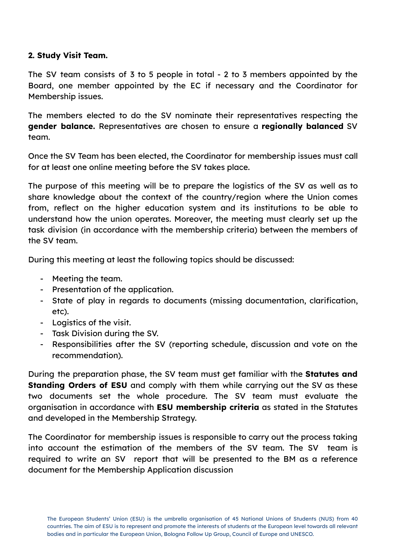#### **2. Study Visit Team.**

The SV team consists of 3 to 5 people in total - 2 to 3 members appointed by the Board, one member appointed by the EC if necessary and the Coordinator for Membership issues.

The members elected to do the SV nominate their representatives respecting the **gender balance.** Representatives are chosen to ensure a **regionally balanced** SV team.

Once the SV Team has been elected, the Coordinator for membership issues must call for at least one online meeting before the SV takes place.

The purpose of this meeting will be to prepare the logistics of the SV as well as to share knowledge about the context of the country/region where the Union comes from, reflect on the higher education system and its institutions to be able to understand how the union operates. Moreover, the meeting must clearly set up the task division (in accordance with the membership criteria) between the members of the SV team.

During this meeting at least the following topics should be discussed:

- Meeting the team.
- Presentation of the application.
- State of play in regards to documents (missing documentation, clarification, etc).
- Logistics of the visit.
- Task Division during the SV.
- Responsibilities after the SV (reporting schedule, discussion and vote on the recommendation).

During the preparation phase, the SV team must get familiar with the **Statutes and Standing Orders of ESU** and comply with them while carrying out the SV as these two documents set the whole procedure. The SV team must evaluate the organisation in accordance with **ESU membership criteria** as stated in the Statutes and developed in the Membership Strategy.

The Coordinator for membership issues is responsible to carry out the process taking into account the estimation of the members of the SV team. The SV team is required to write an SV report that will be presented to the BM as a reference document for the Membership Application discussion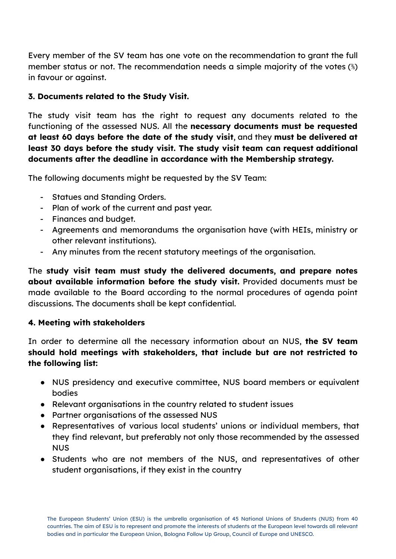Every member of the SV team has one vote on the recommendation to grant the full member status or not. The recommendation needs a simple majority of the votes (⅗) in favour or against.

#### **3. Documents related to the Study Visit.**

The study visit team has the right to request any documents related to the functioning of the assessed NUS. All the **necessary documents must be requested at least 60 days before the date of the study visit**, and they **must be delivered at least 30 days before the study visit. The study visit team can request additional documents after the deadline in accordance with the Membership strategy.**

The following documents might be requested by the SV Team:

- Statues and Standing Orders.
- Plan of work of the current and past year.
- Finances and budget.
- Agreements and memorandums the organisation have (with HEIs, ministry or other relevant institutions).
- Any minutes from the recent statutory meetings of the organisation.

The **study visit team must study the delivered documents, and prepare notes about available information before the study visit.** Provided documents must be made available to the Board according to the normal procedures of agenda point discussions. The documents shall be kept confidential.

#### **4. Meeting with stakeholders**

In order to determine all the necessary information about an NUS, **the SV team should hold meetings with stakeholders, that include but are not restricted to the following list:**

- NUS presidency and executive committee, NUS board members or equivalent bodies
- Relevant organisations in the country related to student issues
- Partner organisations of the assessed NUS
- Representatives of various local students' unions or individual members, that they find relevant, but preferably not only those recommended by the assessed NUS
- Students who are not members of the NUS, and representatives of other student organisations, if they exist in the country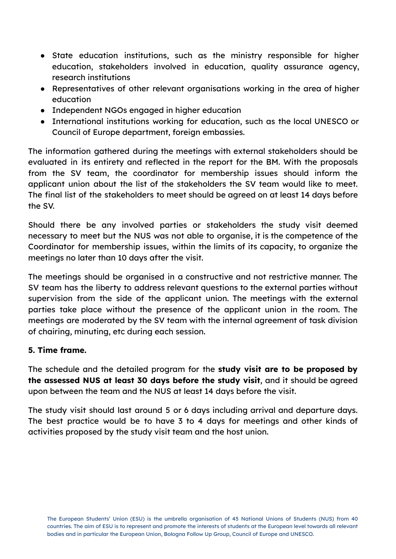- State education institutions, such as the ministry responsible for higher education, stakeholders involved in education, quality assurance agency, research institutions
- Representatives of other relevant organisations working in the area of higher education
- Independent NGOs engaged in higher education
- International institutions working for education, such as the local UNESCO or Council of Europe department, foreign embassies.

The information gathered during the meetings with external stakeholders should be evaluated in its entirety and reflected in the report for the BM. With the proposals from the SV team, the coordinator for membership issues should inform the applicant union about the list of the stakeholders the SV team would like to meet. The final list of the stakeholders to meet should be agreed on at least 14 days before the SV.

Should there be any involved parties or stakeholders the study visit deemed necessary to meet but the NUS was not able to organise, it is the competence of the Coordinator for membership issues, within the limits of its capacity, to organize the meetings no later than 10 days after the visit.

The meetings should be organised in a constructive and not restrictive manner. The SV team has the liberty to address relevant questions to the external parties without supervision from the side of the applicant union. The meetings with the external parties take place without the presence of the applicant union in the room. The meetings are moderated by the SV team with the internal agreement of task division of chairing, minuting, etc during each session.

#### **5. Time frame.**

The schedule and the detailed program for the **study visit are to be proposed by the assessed NUS at least 30 days before the study visit**, and it should be agreed upon between the team and the NUS at least 14 days before the visit.

The study visit should last around 5 or 6 days including arrival and departure days. The best practice would be to have 3 to 4 days for meetings and other kinds of activities proposed by the study visit team and the host union.